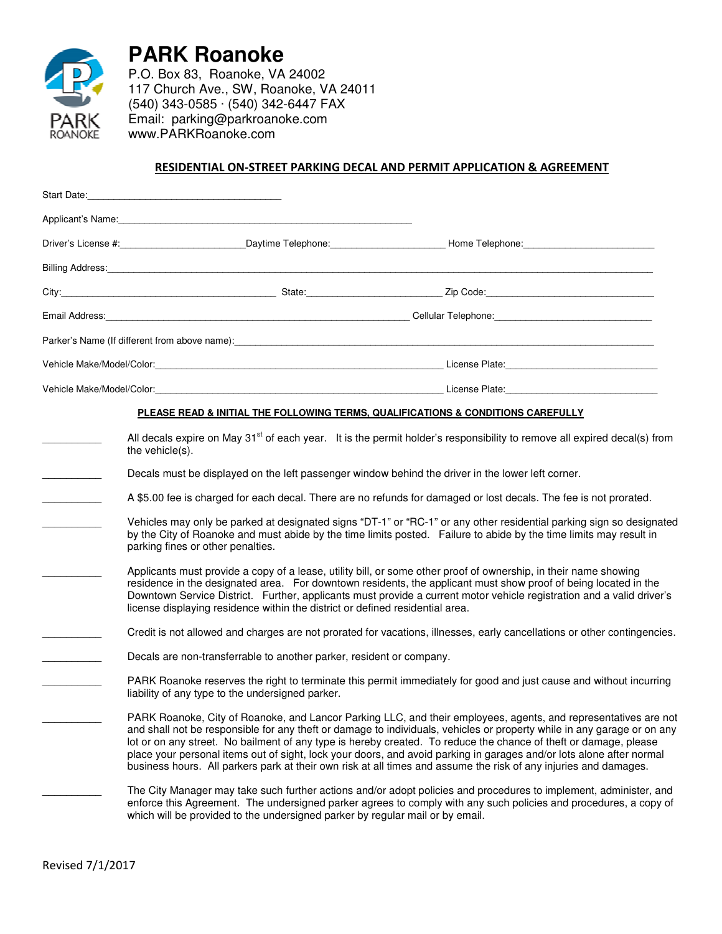

**PARK Roanoke**

P.O. Box 83, Roanoke, VA 24002 117 Church Ave., SW, Roanoke, VA 24011 (540) 343-0585 · (540) 342-6447 FAX Email: parking@parkroanoke.com www.PARKRoanoke.com

## RESIDENTIAL ON-STREET PARKING DECAL AND PERMIT APPLICATION & AGREEMENT

|                 |                                                                                                   | Driver's License #: _____________________________Daytime Telephone: ___________________Home Telephone: ________________________________                                                                                                    |
|-----------------|---------------------------------------------------------------------------------------------------|--------------------------------------------------------------------------------------------------------------------------------------------------------------------------------------------------------------------------------------------|
|                 |                                                                                                   |                                                                                                                                                                                                                                            |
|                 |                                                                                                   |                                                                                                                                                                                                                                            |
|                 |                                                                                                   |                                                                                                                                                                                                                                            |
|                 |                                                                                                   |                                                                                                                                                                                                                                            |
|                 |                                                                                                   |                                                                                                                                                                                                                                            |
|                 |                                                                                                   |                                                                                                                                                                                                                                            |
|                 |                                                                                                   | PLEASE READ & INITIAL THE FOLLOWING TERMS, QUALIFICATIONS & CONDITIONS CAREFULLY                                                                                                                                                           |
| the vehicle(s). |                                                                                                   | All decals expire on May 31 $^{\rm st}$ of each year. It is the permit holder's responsibility to remove all expired decal(s) from                                                                                                         |
|                 | Decals must be displayed on the left passenger window behind the driver in the lower left corner. |                                                                                                                                                                                                                                            |
|                 |                                                                                                   | A \$5.00 fee is charged for each decal. There are no refunds for damaged or lost decals. The fee is not prorated.                                                                                                                          |
|                 | parking fines or other penalties.                                                                 | Vehicles may only be parked at designated signs "DT-1" or "RC-1" or any other residential parking sign so designated<br>by the City of Roanoke and must abide by the time limits posted. Failure to abide by the time limits may result in |
|                 |                                                                                                   | Applicants must provide a copy of a lease, utility bill or some other proof of ownership in their name showing                                                                                                                             |

- licants must provide a copy of a lease, utility bill, or some other proof of ownership, in their name showing residence in the designated area. For downtown residents, the applicant must show proof of being located in the Downtown Service District. Further, applicants must provide a current motor vehicle registration and a valid driver's license displaying residence within the district or defined residential area.
	- Credit is not allowed and charges are not prorated for vacations, illnesses, early cancellations or other contingencies.
		- Decals are non-transferrable to another parker, resident or company.
- PARK Roanoke reserves the right to terminate this permit immediately for good and just cause and without incurring liability of any type to the undersigned parker.
	- PARK Roanoke, City of Roanoke, and Lancor Parking LLC, and their employees, agents, and representatives are not and shall not be responsible for any theft or damage to individuals, vehicles or property while in any garage or on any lot or on any street. No bailment of any type is hereby created. To reduce the chance of theft or damage, please place your personal items out of sight, lock your doors, and avoid parking in garages and/or lots alone after normal business hours. All parkers park at their own risk at all times and assume the risk of any injuries and damages.
		- The City Manager may take such further actions and/or adopt policies and procedures to implement, administer, and enforce this Agreement. The undersigned parker agrees to comply with any such policies and procedures, a copy of which will be provided to the undersigned parker by regular mail or by email.